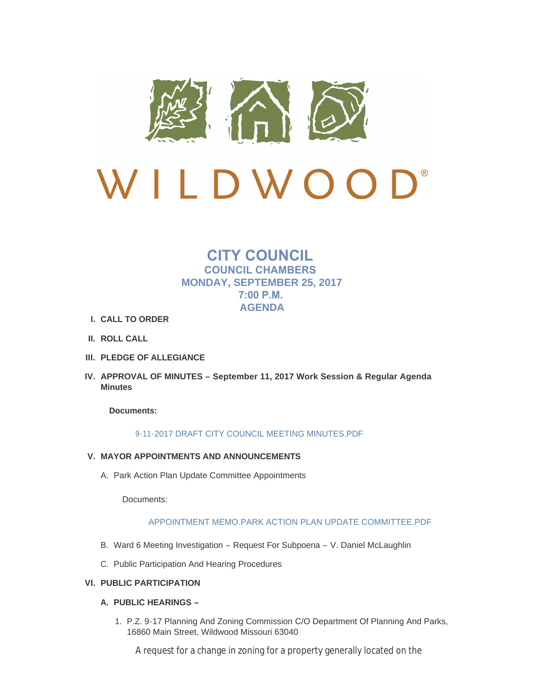

# $\mathbf{D}^*$ LDWOO

## **CITY COUNCIL COUNCIL CHAMBERS MONDAY, SEPTEMBER 25, 2017 7:00 P.M. AGENDA**

- **CALL TO ORDER I.**
- **ROLL CALL II.**
- **PLEDGE OF ALLEGIANCE III.**
- **APPROVAL OF MINUTES – September 11, 2017 Work Session & Regular Agenda IV. Minutes**

**Documents:**

## [9-11-2017 DRAFT CITY COUNCIL MEETING MINUTES.PDF](http://cityofwildwood.com/AgendaCenter/ViewFile/Item/12411?fileID=17783)

- **MAYOR APPOINTMENTS AND ANNOUNCEMENTS V.**
	- A. Park Action Plan Update Committee Appointments

Documents:

## [APPOINTMENT MEMO.PARK ACTION PLAN UPDATE COMMITTEE.PDF](http://cityofwildwood.com/AgendaCenter/ViewFile/Item/12413?fileID=17839)

- Ward 6 Meeting Investigation Request For Subpoena V. Daniel McLaughlin B.
- C. Public Participation And Hearing Procedures

## **PUBLIC PARTICIPATION VI.**

- **PUBLIC HEARINGS – A.**
	- 1. P.Z. 9-17 Planning And Zoning Commission C/O Department Of Planning And Parks, 16860 Main Street, Wildwood Missouri 63040

A request for a change in zoning for a property generally located on the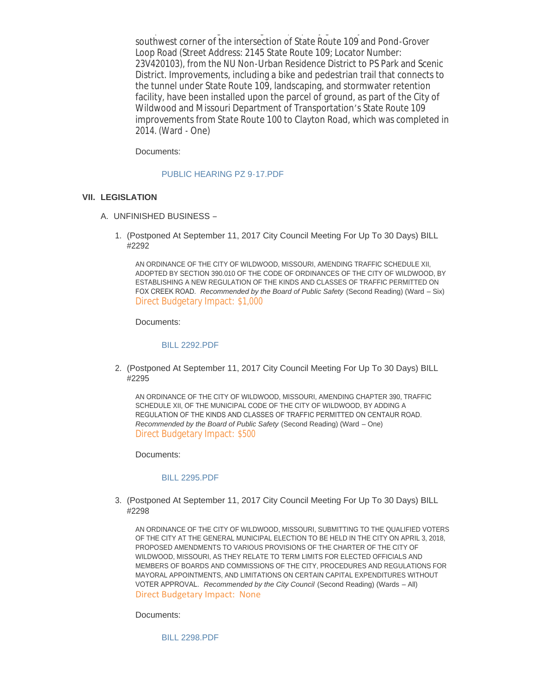A request for a change in zoning for a property generally located on the southwest corner of the intersection of State Route 109 and Pond-Grover Loop Road (Street Address: 2145 State Route 109; Locator Number: 23V420103), from the NU Non-Urban Residence District to PS Park and Scenic District. Improvements, including a bike and pedestrian trail that connects to the tunnel under State Route 109, landscaping, and stormwater retention facility, have been installed upon the parcel of ground, as part of the City of Wildwood and Missouri Department of Transportation's State Route 109 improvements from State Route 100 to Clayton Road, which was completed in 2014. (Ward - One)

Documents:

#### [PUBLIC HEARING PZ 9-17.PDF](http://cityofwildwood.com/AgendaCenter/ViewFile/Item/12418?fileID=17784)

## **LEGISLATION VII.**

- UNFINISHED BUSINESS A.
	- 1. (Postponed At September 11, 2017 City Council Meeting For Up To 30 Days) BILL #2292

AN ORDINANCE OF THE CITY OF WILDWOOD, MISSOURI, AMENDING TRAFFIC SCHEDULE XII, ADOPTED BY SECTION 390.010 OF THE CODE OF ORDINANCES OF THE CITY OF WILDWOOD, BY ESTABLISHING A NEW REGULATION OF THE KINDS AND CLASSES OF TRAFFIC PERMITTED ON FOX CREEK ROAD. *Recommended by the Board of Public Safety* (Second Reading) (Ward – Six) Direct Budgetary Impact: \$1,000

Documents:

#### [BILL 2292.PDF](http://cityofwildwood.com/AgendaCenter/ViewFile/Item/12421?fileID=17785)

2. (Postponed At September 11, 2017 City Council Meeting For Up To 30 Days) BILL #2295

AN ORDINANCE OF THE CITY OF WILDWOOD, MISSOURI, AMENDING CHAPTER 390, TRAFFIC SCHEDULE XII, OF THE MUNICIPAL CODE OF THE CITY OF WILDWOOD, BY ADDING A REGULATION OF THE KINDS AND CLASSES OF TRAFFIC PERMITTED ON CENTAUR ROAD. *Recommended by the Board of Public Safety* (Second Reading) (Ward – One) Direct Budgetary Impact: \$500

Documents:

#### [BILL 2295.PDF](http://cityofwildwood.com/AgendaCenter/ViewFile/Item/12422?fileID=17786)

(Postponed At September 11, 2017 City Council Meeting For Up To 30 Days) BILL 3. #2298

AN ORDINANCE OF THE CITY OF WILDWOOD, MISSOURI, SUBMITTING TO THE QUALIFIED VOTERS OF THE CITY AT THE GENERAL MUNICIPAL ELECTION TO BE HELD IN THE CITY ON APRIL 3, 2018, PROPOSED AMENDMENTS TO VARIOUS PROVISIONS OF THE CHARTER OF THE CITY OF WILDWOOD, MISSOURI, AS THEY RELATE TO TERM LIMITS FOR ELECTED OFFICIALS AND MEMBERS OF BOARDS AND COMMISSIONS OF THE CITY, PROCEDURES AND REGULATIONS FOR MAYORAL APPOINTMENTS, AND LIMITATIONS ON CERTAIN CAPITAL EXPENDITURES WITHOUT VOTER APPROVAL. *Recommended by the City Council* (Second Reading) (Wards – All) Direct Budgetary Impact: None

Documents:

[BILL 2298.PDF](http://cityofwildwood.com/AgendaCenter/ViewFile/Item/12423?fileID=17787)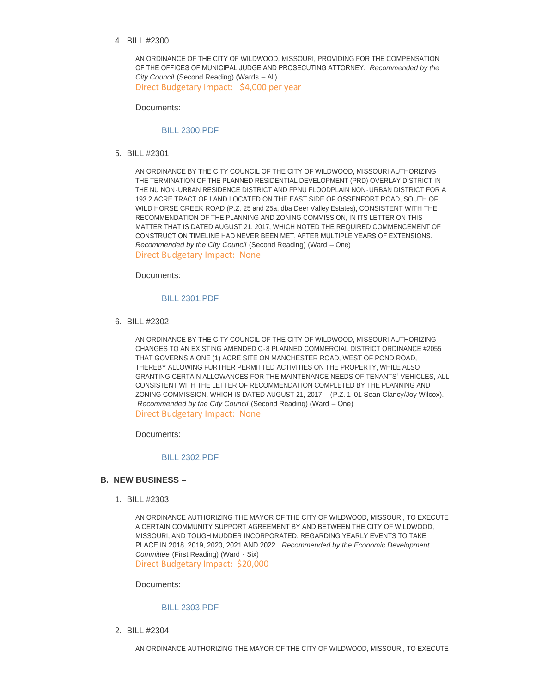BILL #2300 4.

AN ORDINANCE OF THE CITY OF WILDWOOD, MISSOURI, PROVIDING FOR THE COMPENSATION OF THE OFFICES OF MUNICIPAL JUDGE AND PROSECUTING ATTORNEY. *Recommended by the City Council* (Second Reading) (Wards – All) Direct Budgetary Impact: \$4,000 per year

Documents:

## [BILL 2300.PDF](http://cityofwildwood.com/AgendaCenter/ViewFile/Item/12424?fileID=17788)

BILL #2301 5.

AN ORDINANCE BY THE CITY COUNCIL OF THE CITY OF WILDWOOD, MISSOURI AUTHORIZING THE TERMINATION OF THE PLANNED RESIDENTIAL DEVELOPMENT (PRD) OVERLAY DISTRICT IN THE NU NON-URBAN RESIDENCE DISTRICT AND FPNU FLOODPLAIN NON-URBAN DISTRICT FOR A 193.2 ACRE TRACT OF LAND LOCATED ON THE EAST SIDE OF OSSENFORT ROAD, SOUTH OF WILD HORSE CREEK ROAD (P.Z. 25 and 25a, dba Deer Valley Estates), CONSISTENT WITH THE RECOMMENDATION OF THE PLANNING AND ZONING COMMISSION, IN ITS LETTER ON THIS MATTER THAT IS DATED AUGUST 21, 2017, WHICH NOTED THE REQUIRED COMMENCEMENT OF CONSTRUCTION TIMELINE HAD NEVER BEEN MET, AFTER MULTIPLE YEARS OF EXTENSIONS. *Recommended by the City Council* (Second Reading) (Ward – One) Direct Budgetary Impact: None

Documents:

#### [BILL 2301.PDF](http://cityofwildwood.com/AgendaCenter/ViewFile/Item/12425?fileID=17789)

BILL #2302 6.

AN ORDINANCE BY THE CITY COUNCIL OF THE CITY OF WILDWOOD, MISSOURI AUTHORIZING CHANGES TO AN EXISTING AMENDED C-8 PLANNED COMMERCIAL DISTRICT ORDINANCE #2055 THAT GOVERNS A ONE (1) ACRE SITE ON MANCHESTER ROAD, WEST OF POND ROAD, THEREBY ALLOWING FURTHER PERMITTED ACTIVITIES ON THE PROPERTY, WHILE ALSO GRANTING CERTAIN ALLOWANCES FOR THE MAINTENANCE NEEDS OF TENANTS' VEHICLES, ALL CONSISTENT WITH THE LETTER OF RECOMMENDATION COMPLETED BY THE PLANNING AND ZONING COMMISSION, WHICH IS DATED AUGUST 21, 2017 – (P.Z. 1-01 Sean Clancy/Joy Wilcox). *Recommended by the City Council* (Second Reading) (Ward – One) Direct Budgetary Impact: None

Documents:

## [BILL 2302.PDF](http://cityofwildwood.com/AgendaCenter/ViewFile/Item/12426?fileID=17790)

#### **NEW BUSINESS – B.**

BILL #2303 1.

AN ORDINANCE AUTHORIZING THE MAYOR OF THE CITY OF WILDWOOD, MISSOURI, TO EXECUTE A CERTAIN COMMUNITY SUPPORT AGREEMENT BY AND BETWEEN THE CITY OF WILDWOOD, MISSOURI, AND TOUGH MUDDER INCORPORATED, REGARDING YEARLY EVENTS TO TAKE PLACE IN 2018, 2019, 2020, 2021 AND 2022. *Recommended by the Economic Development Committee* (First Reading) (Ward - Six) Direct Budgetary Impact: \$20,000

Documents:

#### [BILL 2303.PDF](http://cityofwildwood.com/AgendaCenter/ViewFile/Item/12428?fileID=17791)

BILL #2304 2.

AN ORDINANCE AUTHORIZING THE MAYOR OF THE CITY OF WILDWOOD, MISSOURI, TO EXECUTE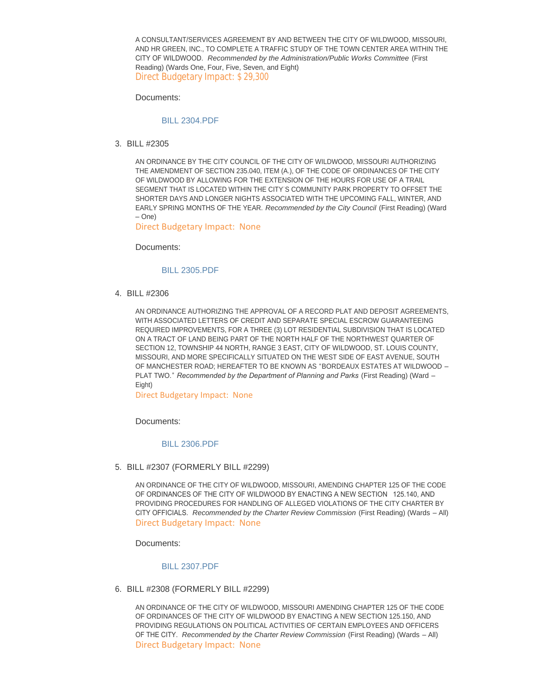A CONSULTANT/SERVICES AGREEMENT BY AND BETWEEN THE CITY OF WILDWOOD, MISSOURI, AND HR GREEN, INC., TO COMPLETE A TRAFFIC STUDY OF THE TOWN CENTER AREA WITHIN THE CITY OF WILDWOOD. *Recommended by the Administration/Public Works Committee* (First Reading) (Wards One, Four, Five, Seven, and Eight) Direct Budgetary Impact: \$ 29,300

Documents:

#### [BILL 2304.PDF](http://cityofwildwood.com/AgendaCenter/ViewFile/Item/12429?fileID=17792)

BILL #2305 3.

AN ORDINANCE BY THE CITY COUNCIL OF THE CITY OF WILDWOOD, MISSOURI AUTHORIZING THE AMENDMENT OF SECTION 235.040, ITEM (A.), OF THE CODE OF ORDINANCES OF THE CITY OF WILDWOOD BY ALLOWING FOR THE EXTENSION OF THE HOURS FOR USE OF A TRAIL SEGMENT THAT IS LOCATED WITHIN THE CITY'S COMMUNITY PARK PROPERTY TO OFFSET THE SHORTER DAYS AND LONGER NIGHTS ASSOCIATED WITH THE UPCOMING FALL, WINTER, AND EARLY SPRING MONTHS OF THE YEAR. *Recommended by the City Council* (First Reading) (Ward – One)

Direct Budgetary Impact: None

Documents:

#### [BILL 2305.PDF](http://cityofwildwood.com/AgendaCenter/ViewFile/Item/12430?fileID=17793)

BILL #2306 4.

AN ORDINANCE AUTHORIZING THE APPROVAL OF A RECORD PLAT AND DEPOSIT AGREEMENTS, WITH ASSOCIATED LETTERS OF CREDIT AND SEPARATE SPECIAL ESCROW GUARANTEEING REQUIRED IMPROVEMENTS, FOR A THREE (3) LOT RESIDENTIAL SUBDIVISION THAT IS LOCATED ON A TRACT OF LAND BEING PART OF THE NORTH HALF OF THE NORTHWEST QUARTER OF SECTION 12, TOWNSHIP 44 NORTH, RANGE 3 EAST, CITY OF WILDWOOD, ST. LOUIS COUNTY, MISSOURI, AND MORE SPECIFICALLY SITUATED ON THE WEST SIDE OF EAST AVENUE, SOUTH OF MANCHESTER ROAD; HEREAFTER TO BE KNOWN AS "BORDEAUX ESTATES AT WILDWOOD – PLAT TWO." *Recommended by the Department of Planning and Parks* (First Reading) (Ward – Eight)

Direct Budgetary Impact: None

Documents:

#### [BILL 2306.PDF](http://cityofwildwood.com/AgendaCenter/ViewFile/Item/12441?fileID=17800)

BILL #2307 (FORMERLY BILL #2299) 5.

AN ORDINANCE OF THE CITY OF WILDWOOD, MISSOURI, AMENDING CHAPTER 125 OF THE CODE OF ORDINANCES OF THE CITY OF WILDWOOD BY ENACTING A NEW SECTION 125.140, AND PROVIDING PROCEDURES FOR HANDLING OF ALLEGED VIOLATIONS OF THE CITY CHARTER BY CITY OFFICIALS. *Recommended by the Charter Review Commission* (First Reading) (Wards – All) Direct Budgetary Impact: None

Documents:

#### [BILL 2307.PDF](http://cityofwildwood.com/AgendaCenter/ViewFile/Item/12432?fileID=17795)

BILL #2308 (FORMERLY BILL #2299) 6.

AN ORDINANCE OF THE CITY OF WILDWOOD, MISSOURI AMENDING CHAPTER 125 OF THE CODE OF ORDINANCES OF THE CITY OF WILDWOOD BY ENACTING A NEW SECTION 125.150, AND PROVIDING REGULATIONS ON POLITICAL ACTIVITIES OF CERTAIN EMPLOYEES AND OFFICERS OF THE CITY. *Recommended by the Charter Review Commission* (First Reading) (Wards – All) Direct Budgetary Impact: None